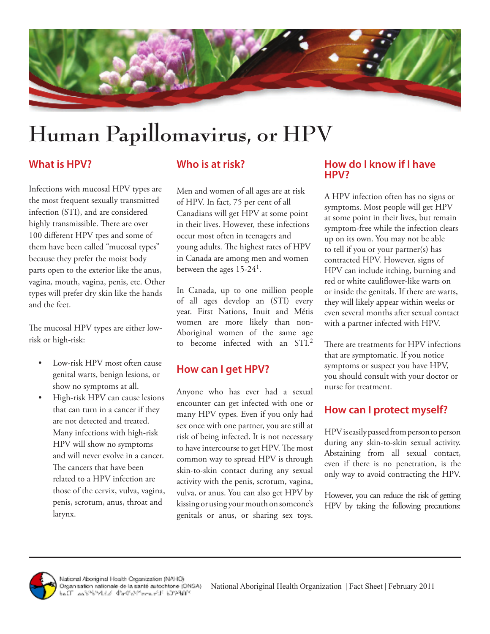

# **Human Papillomavirus, or HPV**

## **What is HPV?**

Infections with mucosal HPV types are the most frequent sexually transmitted infection (STI), and are considered highly transmissible. There are over 100 different HPV tpes and some of them have been called "mucosal types" because they prefer the moist body parts open to the exterior like the anus, vagina, mouth, vagina, penis, etc. Other types will prefer dry skin like the hands and the feet.

The mucosal HPV types are either lowrisk or high-risk:

- Low-risk HPV most often cause genital warts, benign lesions, or show no symptoms at all.
- High-risk HPV can cause lesions that can turn in a cancer if they are not detected and treated. Many infections with high-risk HPV will show no symptoms and will never evolve in a cancer. The cancers that have been related to a HPV infection are those of the cervix, vulva, vagina, penis, scrotum, anus, throat and larynx.

## **Who is at risk?**

Men and women of all ages are at risk of HPV. In fact, 75 per cent of all Canadians will get HPV at some point in their lives. However, these infections occur most often in teenagers and young adults. The highest rates of HPV in Canada are among men and women between the ages  $15-24<sup>1</sup>$ .

In Canada, up to one million people of all ages develop an (STI) every year. First Nations, Inuit and Métis women are more likely than non-Aboriginal women of the same age to become infected with an STI.<sup>2</sup>

## **How can I get HPV?**

Anyone who has ever had a sexual encounter can get infected with one or many HPV types. Even if you only had sex once with one partner, you are still at risk of being infected. It is not necessary to have intercourse to get HPV. The most common way to spread HPV is through skin-to-skin contact during any sexual activity with the penis, scrotum, vagina, vulva, or anus. You can also get HPV by kissing or using your mouth on someone's genitals or anus, or sharing sex toys.

#### **How do I know if I have HPV?**

A HPV infection often has no signs or symptoms. Most people will get HPV at some point in their lives, but remain symptom-free while the infection clears up on its own. You may not be able to tell if you or your partner(s) has contracted HPV. However, signs of HPV can include itching, burning and red or white cauliflower-like warts on or inside the genitals. If there are warts, they will likely appear within weeks or even several months after sexual contact with a partner infected with HPV.

There are treatments for HPV infections that are symptomatic. If you notice symptoms or suspect you have HPV, you should consult with your doctor or nurse for treatment.

## **How can I protect myself?**

HPV is easily passed from person to person during any skin-to-skin sexual activity. Abstaining from all sexual contact, even if there is no penetration, is the only way to avoid contracting the HPV.

However, you can reduce the risk of getting HPV by taking the following precautions: